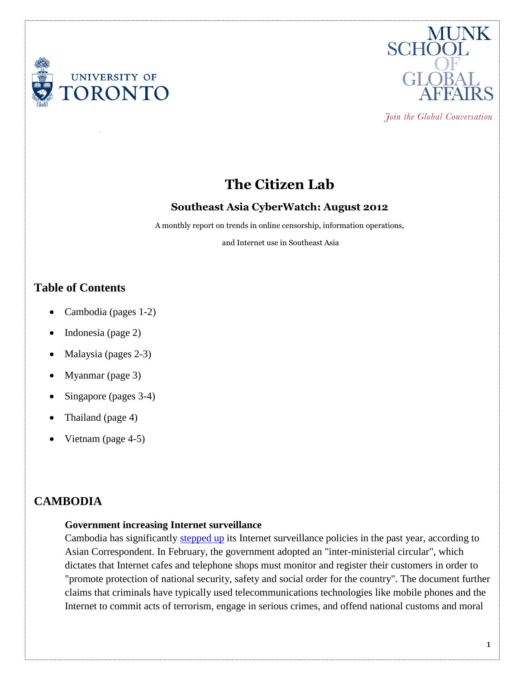



Join the Global Conversation

# **The Citizen Lab**

### **Southeast Asia CyberWatch: August 2012**

A monthly report on trends in online censorship, information operations,

and Internet use in Southeast Asia

# **Table of Contents**

- Cambodia (pages 1-2)
- Indonesia (page 2)
- Malaysia (pages 2-3)
- Myanmar (page 3)
- Singapore (pages 3-4)
- Thailand (page 4)
- Vietnam (page 4-5)

# **CAMBODIA**

### **Government increasing Internet surveillance**

Cambodia has significantly [stepped up](http://asiancorrespondent.com/88383/cambodia-internet-circular-surveillance-radio/) its Internet surveillance policies in the past year, according to Asian Correspondent. In February, the government adopted an "inter-ministerial circular", which dictates that Internet cafes and telephone shops must monitor and register their customers in order to "promote protection of national security, safety and social order for the country". The document further claims that criminals have typically used telecommunications technologies like mobile phones and the Internet to commit acts of terrorism, engage in serious crimes, and offend national customs and moral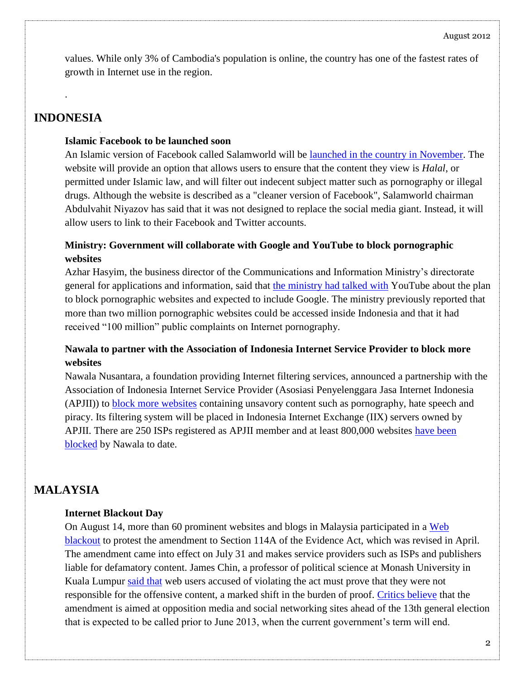values. While only 3% of Cambodia's population is online, the country has one of the fastest rates of growth in Internet use in the region.

# **INDONESIA**

.

#### **Islamic Facebook to be launched soon**

An Islamic version of Facebook called Salamworld will be [launched in the country in November.](http://www.smh.com.au/technology/islamic-facebook-to-be-launched-in-indonesia-20120814-246b8.html) The website will provide an option that allows users to ensure that the content they view is *Halal*, or permitted under Islamic law, and will filter out indecent subject matter such as pornography or illegal drugs. Although the website is described as a "cleaner version of Facebook", Salamworld chairman Abdulvahit Niyazov has said that it was not designed to replace the social media giant. Instead, it will allow users to link to their Facebook and Twitter accounts.

### **Ministry: Government will collaborate with Google and YouTube to block pornographic websites**

Azhar Hasyim, the business director of the Communications and Information Ministry's directorate general for applications and information, said that [the ministry had talked with](http://www.thejakartapost.com/news/2012/08/13/google-youtube-join-ri-s-anti-porn-crusade.html) YouTube about the plan to block pornographic websites and expected to include Google. The ministry previously reported that more than two million pornographic websites could be accessed inside Indonesia and that it had received "100 million" public complaints on Internet pornography.

### **Nawala to partner with the Association of Indonesia Internet Service Provider to block more websites**

Nawala Nusantara, a foundation providing Internet filtering services, announced a partnership with the Association of Indonesia Internet Service Provider (Asosiasi Penyelenggara Jasa Internet Indonesia (APJII)) to [block more websites](http://www.techinasia.com/indonesia-websites-blocked/) containing unsavory content such as pornography, hate speech and piracy. Its filtering system will be placed in Indonesia Internet Exchange (IIX) servers owned by APJII. There are 250 ISPs registered as APJII member and at least 800,000 websites [have been](http://www.techinasia.com/indonesia-websites-blocked/)  [blocked](http://www.techinasia.com/indonesia-websites-blocked/) by Nawala to date.

# **MALAYSIA**

### **Internet Blackout Day**

On August 14, more than 60 prominent websites and blogs in Malaysia participated in a [Web](http://cijmalaysia.org/2012/08/07/cij-to-launch-internet-blackout-day-on-14-august/)  [blackout](http://cijmalaysia.org/2012/08/07/cij-to-launch-internet-blackout-day-on-14-august/) to protest the amendment to Section 114A of the Evidence Act, which was revised in April. The amendment came into effect on July 31 and makes service providers such as ISPs and publishers liable for defamatory content. James Chin, a professor of political science at Monash University in Kuala Lumpur [said that](http://www.pcadvisor.co.uk/news/internet/3375919/malaysia-reviews-controversial-internet-law-following-online-protest/) web users accused of violating the act must prove that they were not responsible for the offensive content, a marked shift in the burden of proof. [Critics believe](http://www.ibtimes.com/articles/373642/20120814/malaysia-internet-blackout-evidence-act-s114a-114a.htm) that the amendment is aimed at opposition media and social networking sites ahead of the 13th general election that is expected to be called prior to June 2013, when the current government's term will end.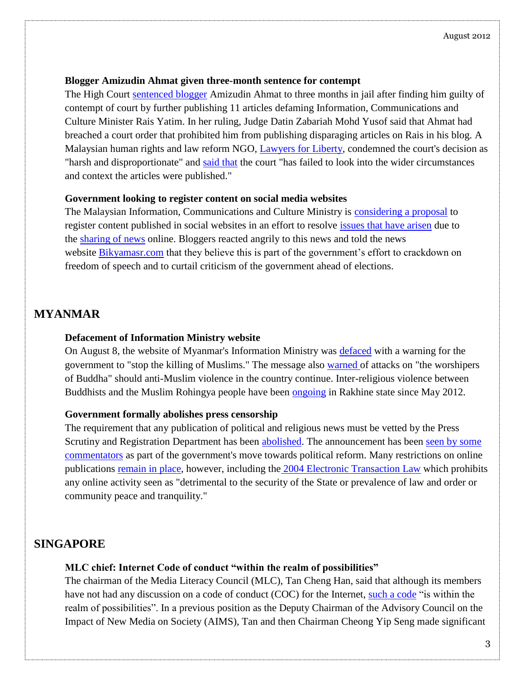### **Blogger Amizudin Ahmat given three-month sentence for contempt**

The High Court [sentenced blogger](http://www.theborneopost.com/2012/08/11/blogger-gets-three-months-jail-for-contempt-of-court-relating-to-articles-on-rais/) Amizudin Ahmat to three months in jail after finding him guilty of contempt of court by further publishing 11 articles defaming Information, Communications and Culture Minister Rais Yatim. In her ruling, Judge Datin Zabariah Mohd Yusof said that Ahmat had breached a court order that prohibited him from publishing disparaging articles on Rais in his blog. A Malaysian human rights and law reform NGO, [Lawyers for Liberty,](http://www.lawyersforliberty.org/2012/08/court-should-not-use-powers-of-contempt-to-jail-blogger-2/) condemned the court's decision as "harsh and disproportionate" and [said that](http://www.malaysia-chronicle.com/index.php?option=com_k2&view=item&id=37982:rais-vs-blogger-3-mths-jail-too-harsh--disproportionate-lawyers-for-liberty&Itemid=2) the court "has failed to look into the wider circumstances and context the articles were published."

### **Government looking to register content on social media websites**

The Malaysian Information, Communications and Culture Ministry is [considering a proposal](http://www.bikyamasr.com/75713/malaysia-looking-to-register-content-on-social-media-websites/) to register content published in social websites in an effort to resolve [issues that have arisen](http://www.bikyamasr.com/75337/malaysia-says-social-media-giving-impression-country-is-unsafe/) due to the [sharing of news](http://www.malaysia-chronicle.com/index.php?option=com_k2&view=item&id=37474:igp-perception-of-crime-rate-should-not-be-based-on-social-media-reports&Itemid=2) online. Bloggers reacted angrily to this news and told the news website [Bikyamasr.com](http://www.bikyamasr.com/75713/malaysia-looking-to-register-content-on-social-media-websites/) that they believe this is part of the government's effort to crackdown on freedom of speech and to curtail criticism of the government ahead of elections.

## **MYANMAR**

### **Defacement of Information Ministry website**

On August 8, the website of Myanmar's Information Ministry was [defaced](http://www.irrawaddy.org/archives/11132) with a warning for the government to "stop the killing of Muslims." The message also [warned](http://www.mizzima.com/news/inside-burma/7708-website-of-burmese-information-ministry-hacked.html) of attacks on "the worshipers of Buddha" should anti-Muslim violence in the country continue. Inter-religious violence between Buddhists and the Muslim Rohingya people have been [ongoing](http://www.bbc.co.uk/news/world-asia-18395788) in Rakhine state since May 2012.

### **Government formally abolishes press censorship**

The requirement that any publication of political and religious news must be vetted by the Press Scrutiny and Registration Department has been [abolished.](http://www.guardian.co.uk/world/2012/aug/20/burma-ends-advance-press-censorship) The announcement has been [seen by some](http://www.telegraph.co.uk/news/worldnews/asia/burmamyanmar/9487465/Burmese-authorities-abolish-press-censorship.html)  [commentators](http://www.telegraph.co.uk/news/worldnews/asia/burmamyanmar/9487465/Burmese-authorities-abolish-press-censorship.html) as part of the government's move towards political reform. Many restrictions on online publications [remain in place,](http://www.irrawaddy.org/archives/12000) however, including the [2004 Electronic Transaction Law](http://www.blc-burma.org/html/Myanmar%20Law/lr_e_ml04_05.htm) which prohibits any online activity seen as "detrimental to the security of the State or prevalence of law and order or community peace and tranquility."

# **SINGAPORE**

### **MLC chief: Internet Code of conduct "within the realm of possibilities"**

The chairman of the Media Literacy Council (MLC), Tan Cheng Han, said that although its members have not had any discussion on a code of conduct (COC) for the Internet, [such a code](http://sg.news.yahoo.com/blogs/singaporescene/code-conduct-within-realm-possibilities-mlc-chief-102358592.html) "is within the realm of possibilities". In a previous position as the Deputy Chairman of the Advisory Council on the Impact of New Media on Society (AIMS), Tan and then Chairman Cheong Yip Seng made significant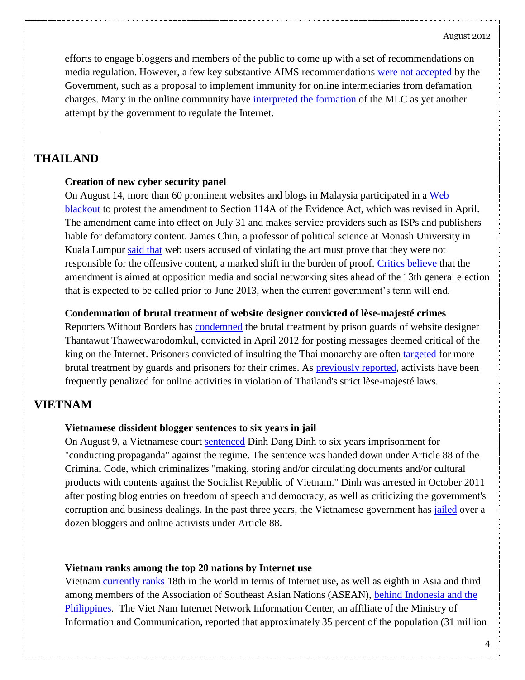efforts to engage bloggers and members of the public to come up with a set of recommendations on media regulation. However, a few key substantive AIMS recommendations [were not accepted](http://theonlinecitizen.com/2012/08/tan-cheng-han-i-do-not-think-the-government-intends-to-regulate-the-internet-by-an-internet-code-of-conduct/) by the Government, such as a proposal to implement immunity for online intermediaries from defamation charges. Many in the online community have [interpreted the formation](http://www.eurasiareview.com/20082012-developing-an-icoc-and-role-of-media-literacy-council-the-middle-ground-perspective-analysis/) of the MLC as yet another attempt by the government to regulate the Internet.

### **THAILAND**

#### **Creation of new cyber security panel**

On August 14, more than 60 prominent websites and blogs in Malaysia participated in a [Web](http://cijmalaysia.org/2012/08/07/cij-to-launch-internet-blackout-day-on-14-august/)  [blackout](http://cijmalaysia.org/2012/08/07/cij-to-launch-internet-blackout-day-on-14-august/) to protest the amendment to Section 114A of the Evidence Act, which was revised in April. The amendment came into effect on July 31 and makes service providers such as ISPs and publishers liable for defamatory content. James Chin, a professor of political science at Monash University in Kuala Lumpur [said that](http://www.pcadvisor.co.uk/news/internet/3375919/malaysia-reviews-controversial-internet-law-following-online-protest/) web users accused of violating the act must prove that they were not responsible for the offensive content, a marked shift in the burden of proof. [Critics believe](http://www.ibtimes.com/articles/373642/20120814/malaysia-internet-blackout-evidence-act-s114a-114a.htm) that the amendment is aimed at opposition media and social networking sites ahead of the 13th general election that is expected to be called prior to June 2013, when the current government's term will end.

#### **Condemnation of brutal treatment of website designer convicted of lèse-majesté crimes**

Reporters Without Borders has [condemned](http://en.rsf.org/thailande-13-years-in-prison-for-posting-17-03-2011,39819.html) the brutal treatment by prison guards of website designer Thantawut Thaweewarodomkul, convicted in April 2012 for posting messages deemed critical of the king on the Internet. Prisoners convicted of insulting the Thai monarchy are often [targeted](http://news.asiaone.com/News/AsiaOne%2BNews/Asia/Story/A1Story20120824-367219.html) for more brutal treatment by guards and prisoners for their crimes. As [previously reported,](https://citizenlab.org/2012/06/southeast-asia-cyber-watch-issue-1/) activists have been frequently penalized for online activities in violation of Thailand's strict lèse-majesté laws.

### **VIETNAM**

#### **Vietnamese dissident blogger sentences to six years in jail**

On August 9, a Vietnamese court [sentenced](http://www.rfa.org/english/news/vietnam/blogger-08092012145526.html) Dinh Dang Dinh to six years imprisonment for "conducting propaganda" against the regime. The sentence was handed down under Article 88 of the Criminal Code, which criminalizes "making, storing and/or circulating documents and/or cultural products with contents against the Socialist Republic of Vietnam." Dinh was arrested in October 2011 after posting blog entries on freedom of speech and democracy, as well as criticizing the government's corruption and business dealings. In the past three years, the Vietnamese government has *[jailed](http://www.hrw.org/news/2012/07/09/vietnam-clinton-should-spotlight-internet-freedom)* over a dozen bloggers and online activists under Article 88.

#### **Vietnam ranks among the top 20 nations by Internet use**

Vietnam [currently ranks](http://vietnamnews.vnagency.com.vn/Economy/228605/viet-nam-ranks-in-worlds-top-20-nations-for-internet-use.html) 18th in the world in terms of Internet use, as well as eighth in Asia and third among members of the Association of Southeast Asian Nations (ASEAN), [behind Indonesia and the](http://www.internetworldstats.com/top20.htm)  [Philippines.](http://www.internetworldstats.com/top20.htm) The Viet Nam Internet Network Information Center, an affiliate of the Ministry of Information and Communication, reported that approximately 35 percent of the population (31 million